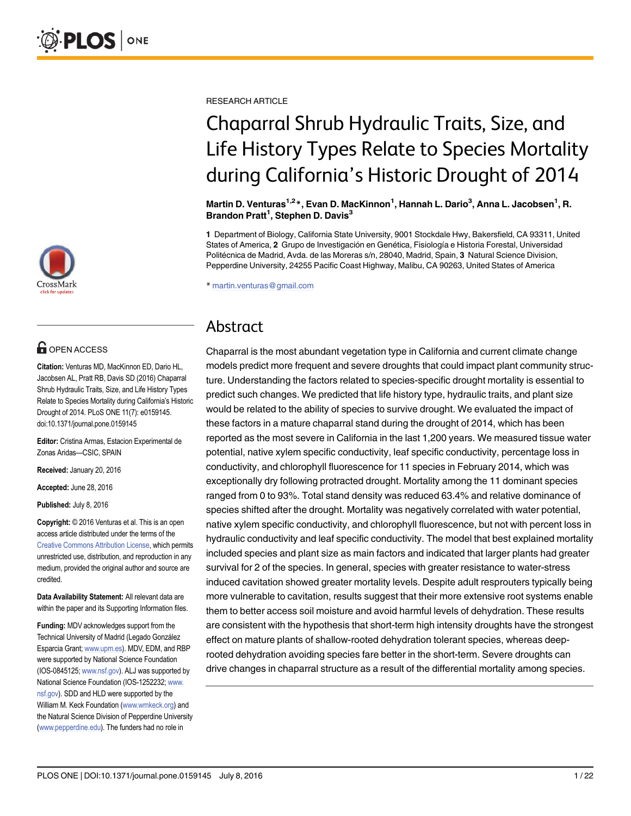

# **O** OPEN ACCESS

Citation: Venturas MD, MacKinnon ED, Dario HL, Jacobsen AL, Pratt RB, Davis SD (2016) Chaparral Shrub Hydraulic Traits, Size, and Life History Types Relate to Species Mortality during California's Historic Drought of 2014. PLoS ONE 11(7): e0159145. doi:10.1371/journal.pone.0159145

Editor: Cristina Armas, Estacion Experimental de Zonas Aridas—CSIC, SPAIN

Received: January 20, 2016

Accepted: June 28, 2016

Published: July 8, 2016

Copyright: © 2016 Venturas et al. This is an open access article distributed under the terms of the [Creative Commons Attribution License,](http://creativecommons.org/licenses/by/4.0/) which permits unrestricted use, distribution, and reproduction in any medium, provided the original author and source are credited.

Data Availability Statement: All relevant data are within the paper and its Supporting Information files.

Funding: MDV acknowledges support from the Technical University of Madrid (Legado González Esparcia Grant; [www.upm.es](http://www.upm.es)). MDV, EDM, and RBP were supported by National Science Foundation (IOS-0845125; [www.nsf.gov\)](http://www.nsf.gov). ALJ was supported by National Science Foundation (IOS-1252232; [www.](http://www.nsf.gov) [nsf.gov\)](http://www.nsf.gov). SDD and HLD were supported by the William M. Keck Foundation [\(www.wmkeck.org\)](http://www.wmkeck.org) and the Natural Science Division of Pepperdine University [\(www.pepperdine.edu\)](http://www.pepperdine.edu). The funders had no role in

RESEARCH ARTICLE

# Chaparral Shrub Hydraulic Traits, Size, and Life History Types Relate to Species Mortality during California's Historic Drought of 2014

Martin D. Venturas<sup>1,2</sup>\*, Evan D. MacKinnon<sup>1</sup>, Hannah L. Dario<sup>3</sup>, Anna L. Jacobsen<sup>1</sup>, R. Brandon Pratt<sup>1</sup>, Stephen D. Davis<sup>3</sup>

1 Department of Biology, California State University, 9001 Stockdale Hwy, Bakersfield, CA 93311, United States of America, 2 Grupo de Investigación en Genética, Fisiología e Historia Forestal, Universidad Politécnica de Madrid, Avda. de las Moreras s/n, 28040, Madrid, Spain, 3 Natural Science Division, Pepperdine University, 24255 Pacific Coast Highway, Malibu, CA 90263, United States of America

\* martin.venturas@gmail.com

# Abstract

Chaparral is the most abundant vegetation type in California and current climate change models predict more frequent and severe droughts that could impact plant community structure. Understanding the factors related to species-specific drought mortality is essential to predict such changes. We predicted that life history type, hydraulic traits, and plant size would be related to the ability of species to survive drought. We evaluated the impact of these factors in a mature chaparral stand during the drought of 2014, which has been reported as the most severe in California in the last 1,200 years. We measured tissue water potential, native xylem specific conductivity, leaf specific conductivity, percentage loss in conductivity, and chlorophyll fluorescence for 11 species in February 2014, which was exceptionally dry following protracted drought. Mortality among the 11 dominant species ranged from 0 to 93%. Total stand density was reduced 63.4% and relative dominance of species shifted after the drought. Mortality was negatively correlated with water potential, native xylem specific conductivity, and chlorophyll fluorescence, but not with percent loss in hydraulic conductivity and leaf specific conductivity. The model that best explained mortality included species and plant size as main factors and indicated that larger plants had greater survival for 2 of the species. In general, species with greater resistance to water-stress induced cavitation showed greater mortality levels. Despite adult resprouters typically being more vulnerable to cavitation, results suggest that their more extensive root systems enable them to better access soil moisture and avoid harmful levels of dehydration. These results are consistent with the hypothesis that short-term high intensity droughts have the strongest effect on mature plants of shallow-rooted dehydration tolerant species, whereas deeprooted dehydration avoiding species fare better in the short-term. Severe droughts can drive changes in chaparral structure as a result of the differential mortality among species.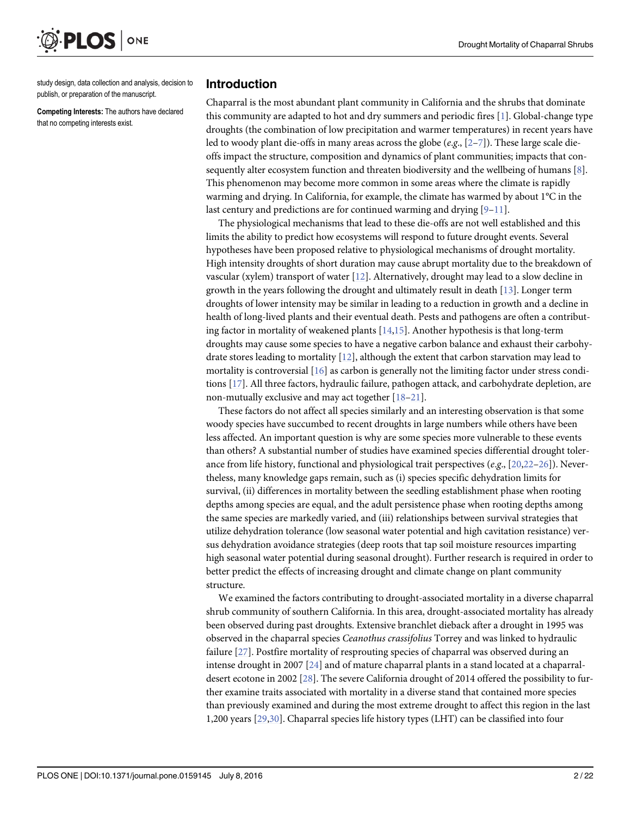<span id="page-1-0"></span>PLOS I ONE

study design, data collection and analysis, decision to publish, or preparation of the manuscript.

Competing Interests: The authors have declared that no competing interests exist.

## Introduction

Chaparral is the most abundant plant community in California and the shrubs that dominate this community are adapted to hot and dry summers and periodic fires  $[1]$  $[1]$  $[1]$ . Global-change type droughts (the combination of low precipitation and warmer temperatures) in recent years have led to woody plant die-offs in many areas across the globe (e.g.,  $[2-7]$  $[2-7]$  $[2-7]$ ). These large scale dieoffs impact the structure, composition and dynamics of plant communities; impacts that consequently alter ecosystem function and threaten biodiversity and the wellbeing of humans  $[8]$  $[8]$ . This phenomenon may become more common in some areas where the climate is rapidly warming and drying. In California, for example, the climate has warmed by about 1°C in the last century and predictions are for continued warming and drying  $[9-11]$  $[9-11]$  $[9-11]$  $[9-11]$  $[9-11]$ .

The physiological mechanisms that lead to these die-offs are not well established and this limits the ability to predict how ecosystems will respond to future drought events. Several hypotheses have been proposed relative to physiological mechanisms of drought mortality. High intensity droughts of short duration may cause abrupt mortality due to the breakdown of vascular (xylem) transport of water [[12](#page-18-0)]. Alternatively, drought may lead to a slow decline in growth in the years following the drought and ultimately result in death [[13](#page-19-0)]. Longer term droughts of lower intensity may be similar in leading to a reduction in growth and a decline in health of long-lived plants and their eventual death. Pests and pathogens are often a contributing factor in mortality of weakened plants  $[14,15]$  $[14,15]$  $[14,15]$  $[14,15]$  $[14,15]$ . Another hypothesis is that long-term droughts may cause some species to have a negative carbon balance and exhaust their carbohydrate stores leading to mortality  $[12]$  $[12]$  $[12]$ , although the extent that carbon starvation may lead to mortality is controversial [\[16\]](#page-19-0) as carbon is generally not the limiting factor under stress conditions [\[17\]](#page-19-0). All three factors, hydraulic failure, pathogen attack, and carbohydrate depletion, are non-mutually exclusive and may act together  $[18-21]$  $[18-21]$  $[18-21]$  $[18-21]$  $[18-21]$ .

These factors do not affect all species similarly and an interesting observation is that some woody species have succumbed to recent droughts in large numbers while others have been less affected. An important question is why are some species more vulnerable to these events than others? A substantial number of studies have examined species differential drought tolerance from life history, functional and physiological trait perspectives (e.g.,  $[20,22-26]$  $[20,22-26]$  $[20,22-26]$ ). Nevertheless, many knowledge gaps remain, such as (i) species specific dehydration limits for survival, (ii) differences in mortality between the seedling establishment phase when rooting depths among species are equal, and the adult persistence phase when rooting depths among the same species are markedly varied, and (iii) relationships between survival strategies that utilize dehydration tolerance (low seasonal water potential and high cavitation resistance) versus dehydration avoidance strategies (deep roots that tap soil moisture resources imparting high seasonal water potential during seasonal drought). Further research is required in order to better predict the effects of increasing drought and climate change on plant community structure.

We examined the factors contributing to drought-associated mortality in a diverse chaparral shrub community of southern California. In this area, drought-associated mortality has already been observed during past droughts. Extensive branchlet dieback after a drought in 1995 was observed in the chaparral species Ceanothus crassifolius Torrey and was linked to hydraulic failure [\[27\]](#page-19-0). Postfire mortality of resprouting species of chaparral was observed during an intense drought in 2007  $[24]$  $[24]$  and of mature chaparral plants in a stand located at a chaparraldesert ecotone in 2002 [[28\]](#page-19-0). The severe California drought of 2014 offered the possibility to further examine traits associated with mortality in a diverse stand that contained more species than previously examined and during the most extreme drought to affect this region in the last 1,200 years [[29,30](#page-19-0)]. Chaparral species life history types (LHT) can be classified into four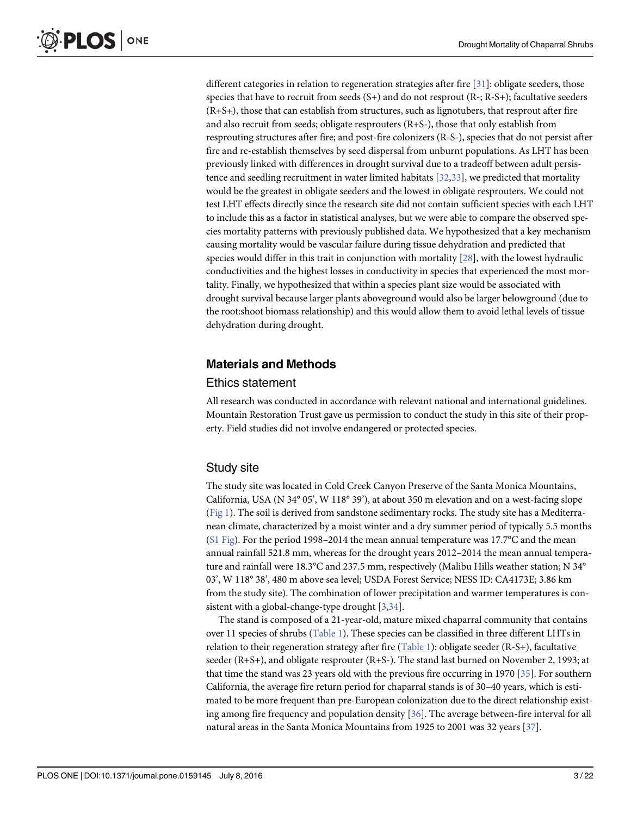<span id="page-2-0"></span>different categories in relation to regeneration strategies after fire [\[31\]](#page-19-0): obligate seeders, those species that have to recruit from seeds  $(S+)$  and do not resprout  $(R-, R-S+)$ ; facultative seeders (R+S+), those that can establish from structures, such as lignotubers, that resprout after fire and also recruit from seeds; obligate resprouters  $(R+S<sub>-</sub>)$ , those that only establish from resprouting structures after fire; and post-fire colonizers (R-S-), species that do not persist after fire and re-establish themselves by seed dispersal from unburnt populations. As LHT has been previously linked with differences in drought survival due to a tradeoff between adult persistence and seedling recruitment in water limited habitats  $[32,33]$ , we predicted that mortality would be the greatest in obligate seeders and the lowest in obligate resprouters. We could not test LHT effects directly since the research site did not contain sufficient species with each LHT to include this as a factor in statistical analyses, but we were able to compare the observed species mortality patterns with previously published data. We hypothesized that a key mechanism causing mortality would be vascular failure during tissue dehydration and predicted that species would differ in this trait in conjunction with mortality [\[28\]](#page-19-0), with the lowest hydraulic conductivities and the highest losses in conductivity in species that experienced the most mortality. Finally, we hypothesized that within a species plant size would be associated with drought survival because larger plants aboveground would also be larger belowground (due to the root:shoot biomass relationship) and this would allow them to avoid lethal levels of tissue dehydration during drought.

# Materials and Methods

# Ethics statement

All research was conducted in accordance with relevant national and international guidelines. Mountain Restoration Trust gave us permission to conduct the study in this site of their property. Field studies did not involve endangered or protected species.

# Study site

The study site was located in Cold Creek Canyon Preserve of the Santa Monica Mountains, California, USA (N 34° 05', W 118° 39'), at about 350 m elevation and on a west-facing slope [\(Fig 1\)](#page-4-0). The soil is derived from sandstone sedimentary rocks. The study site has a Mediterranean climate, characterized by a moist winter and a dry summer period of typically 5.5 months [\(S1 Fig\)](#page-17-0). For the period 1998–2014 the mean annual temperature was 17.7°C and the mean annual rainfall 521.8 mm, whereas for the drought years 2012–2014 the mean annual temperature and rainfall were 18.3°C and 237.5 mm, respectively (Malibu Hills weather station; N 34° 03', W 118° 38', 480 m above sea level; USDA Forest Service; NESS ID: CA4173E; 3.86 km from the study site). The combination of lower precipitation and warmer temperatures is consistent with a global-change-type drought  $[3,34]$  $[3,34]$ .

The stand is composed of a 21-year-old, mature mixed chaparral community that contains over 11 species of shrubs [\(Table 1\)](#page-4-0). These species can be classified in three different LHTs in relation to their regeneration strategy after fire  $(Table 1)$  $(Table 1)$ : obligate seeder  $(R-S+)$ , facultative seeder (R+S+), and obligate resprouter (R+S-). The stand last burned on November 2, 1993; at that time the stand was 23 years old with the previous fire occurring in 1970 [\[35\]](#page-20-0). For southern California, the average fire return period for chaparral stands is of 30–40 years, which is estimated to be more frequent than pre-European colonization due to the direct relationship existing among fire frequency and population density  $[36]$  $[36]$ . The average between-fire interval for all natural areas in the Santa Monica Mountains from 1925 to 2001 was 32 years [\[37](#page-20-0)].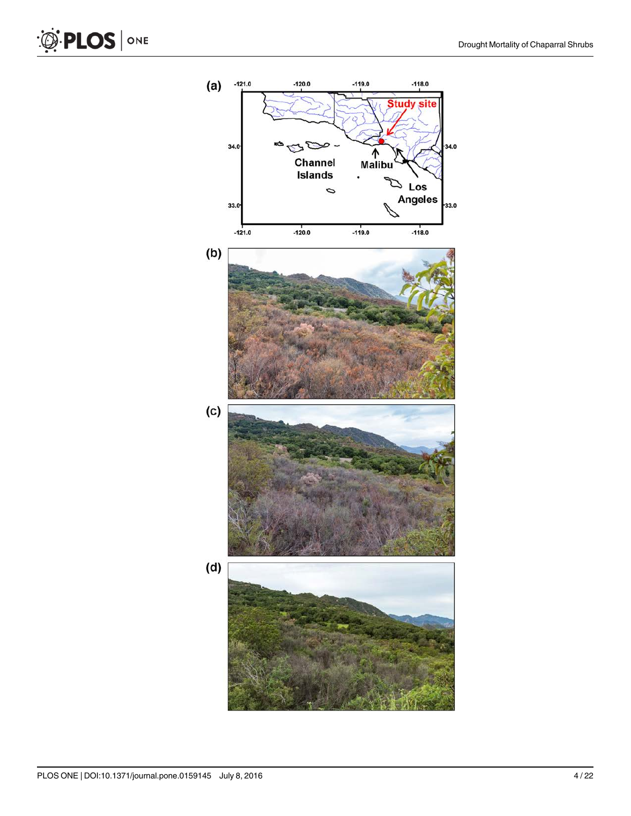

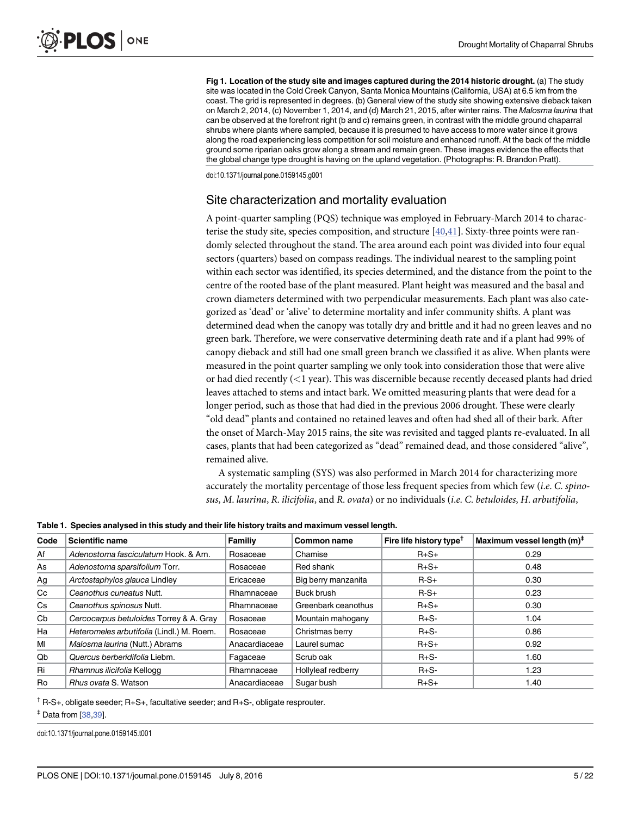<span id="page-4-0"></span>[Fig 1. L](#page-2-0)ocation of the study site and images captured during the 2014 historic drought. (a) The study site was located in the Cold Creek Canyon, Santa Monica Mountains (California, USA) at 6.5 km from the coast. The grid is represented in degrees. (b) General view of the study site showing extensive dieback taken on March 2, 2014, (c) November 1, 2014, and (d) March 21, 2015, after winter rains. The Malosma laurina that can be observed at the forefront right (b and c) remains green, in contrast with the middle ground chaparral shrubs where plants where sampled, because it is presumed to have access to more water since it grows along the road experiencing less competition for soil moisture and enhanced runoff. At the back of the middle ground some riparian oaks grow along a stream and remain green. These images evidence the effects that the global change type drought is having on the upland vegetation. (Photographs: R. Brandon Pratt).

doi:10.1371/journal.pone.0159145.g001

# Site characterization and mortality evaluation

A point-quarter sampling (PQS) technique was employed in February-March 2014 to characterise the study site, species composition, and structure  $[40,41]$  $[40,41]$ . Sixty-three points were randomly selected throughout the stand. The area around each point was divided into four equal sectors (quarters) based on compass readings. The individual nearest to the sampling point within each sector was identified, its species determined, and the distance from the point to the centre of the rooted base of the plant measured. Plant height was measured and the basal and crown diameters determined with two perpendicular measurements. Each plant was also categorized as 'dead' or 'alive' to determine mortality and infer community shifts. A plant was determined dead when the canopy was totally dry and brittle and it had no green leaves and no green bark. Therefore, we were conservative determining death rate and if a plant had 99% of canopy dieback and still had one small green branch we classified it as alive. When plants were measured in the point quarter sampling we only took into consideration those that were alive or had died recently (<1 year). This was discernible because recently deceased plants had dried leaves attached to stems and intact bark. We omitted measuring plants that were dead for a longer period, such as those that had died in the previous 2006 drought. These were clearly "old dead" plants and contained no retained leaves and often had shed all of their bark. After the onset of March-May 2015 rains, the site was revisited and tagged plants re-evaluated. In all cases, plants that had been categorized as "dead" remained dead, and those considered "alive", remained alive.

A systematic sampling (SYS) was also performed in March 2014 for characterizing more accurately the mortality percentage of those less frequent species from which few (i.e. C. spinosus, M. laurina, R. ilicifolia, and R. ovata) or no individuals (i.e. C. betuloides, H. arbutifolia,

[Table 1.](#page-2-0) Species analysed in this study and their life history traits and maximum vessel length.

| Code | Scientific name                           | Familiy       | Common name         | Fire life history type <sup><math>†</math></sup> | Maximum vessel length $(m)^+$ |
|------|-------------------------------------------|---------------|---------------------|--------------------------------------------------|-------------------------------|
| Af   | Adenostoma fasciculatum Hook, & Arn.      | Rosaceae      | Chamise             | $R + S +$                                        | 0.29                          |
| As   | Adenostoma sparsifolium Torr.             | Rosaceae      | Red shank           | $R + S +$                                        | 0.48                          |
| Ag   | Arctostaphylos glauca Lindley             | Ericaceae     | Big berry manzanita | $R-S+$                                           | 0.30                          |
| Cc   | Ceanothus cuneatus Nutt.                  | Rhamnaceae    | Buck brush          | $R-S+$                                           | 0.23                          |
| Cs   | Ceanothus spinosus Nutt.                  | Rhamnaceae    | Greenbark ceanothus | $R + S +$                                        | 0.30                          |
| Cb   | Cercocarpus betuloides Torrey & A. Gray   | Rosaceae      | Mountain mahogany   | $R + S$ -                                        | 1.04                          |
| Ha   | Heteromeles arbutifolia (Lindl.) M. Roem. | Rosaceae      | Christmas berry     | $R + S$ -                                        | 0.86                          |
| MI   | Malosma laurina (Nutt.) Abrams            | Anacardiaceae | Laurel sumac        | $R + S +$                                        | 0.92                          |
| Qb   | Quercus berberidifolia Liebm.             | Fagaceae      | Scrub oak           | $R + S$ -                                        | 1.60                          |
| Ri   | Rhamnus ilicifolia Kellogg                | Rhamnaceae    | Hollyleaf redberry  | $R + S$ -                                        | 1.23                          |
| Ro   | Rhus ovata S. Watson                      | Anacardiaceae | Sugar bush          | $R + S +$                                        | 1.40                          |

† R-S+, obligate seeder; R+S+, facultative seeder; and R+S-, obligate resprouter.

 $\overline{ }$  Data from [\[38,39](#page-20-0)].

doi:10.1371/journal.pone.0159145.t001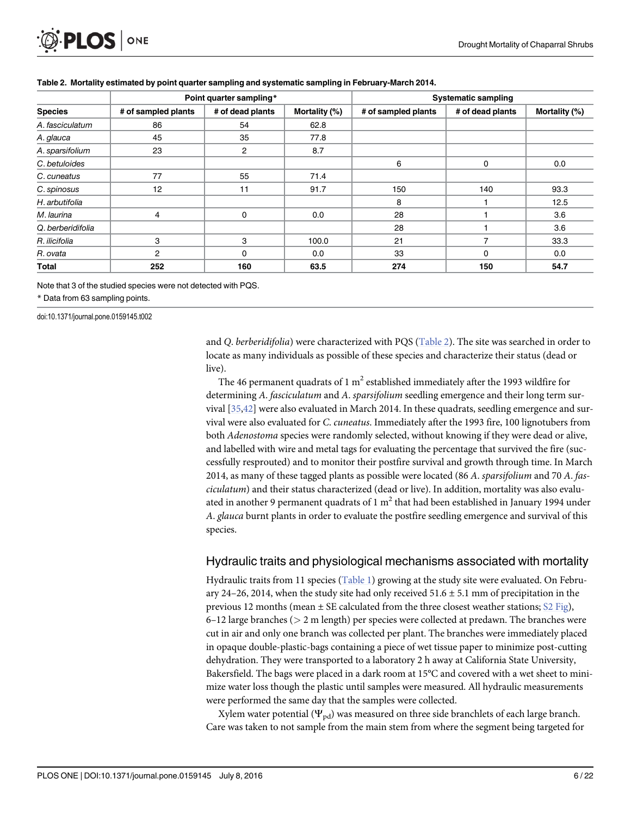<span id="page-5-0"></span>

|                   | Point quarter sampling* |                  |               | <b>Systematic sampling</b> |                  |               |  |
|-------------------|-------------------------|------------------|---------------|----------------------------|------------------|---------------|--|
| <b>Species</b>    | # of sampled plants     | # of dead plants | Mortality (%) | # of sampled plants        | # of dead plants | Mortality (%) |  |
| A. fasciculatum   | 86                      | 54               | 62.8          |                            |                  |               |  |
| A. glauca         | 45                      | 35               | 77.8          |                            |                  |               |  |
| A. sparsifolium   | 23                      | $\overline{2}$   | 8.7           |                            |                  |               |  |
| C. betuloides     |                         |                  |               | 6                          | 0                | 0.0           |  |
| C. cuneatus       | 77                      | 55               | 71.4          |                            |                  |               |  |
| C. spinosus       | 12                      | 11               | 91.7          | 150                        | 140              | 93.3          |  |
| H. arbutifolia    |                         |                  |               | 8                          |                  | 12.5          |  |
| M. laurina        | 4                       | $\Omega$         | 0.0           | 28                         |                  | 3.6           |  |
| Q. berberidifolia |                         |                  |               | 28                         |                  | 3.6           |  |
| R. ilicifolia     | 3                       | 3                | 100.0         | 21                         | ⇁                | 33.3          |  |
| R. ovata          | $\overline{2}$          | $\Omega$         | 0.0           | 33                         | $\Omega$         | 0.0           |  |
| Total             | 252                     | 160              | 63.5          | 274                        | 150              | 54.7          |  |

#### Table 2. Mortality estimated by point quarter sampling and systematic sampling in February-March 2014.

Note that 3 of the studied species were not detected with PQS.

\* Data from 63 sampling points.

doi:10.1371/journal.pone.0159145.t002

and Q. berberidifolia) were characterized with PQS (Table 2). The site was searched in order to locate as many individuals as possible of these species and characterize their status (dead or live).

The 46 permanent quadrats of 1  $m<sup>2</sup>$  established immediately after the 1993 wildfire for determining A. fasciculatum and A. sparsifolium seedling emergence and their long term survival  $[35,42]$  were also evaluated in March 2014. In these quadrats, seedling emergence and survival were also evaluated for C. cuneatus. Immediately after the 1993 fire, 100 lignotubers from both Adenostoma species were randomly selected, without knowing if they were dead or alive, and labelled with wire and metal tags for evaluating the percentage that survived the fire (successfully resprouted) and to monitor their postfire survival and growth through time. In March 2014, as many of these tagged plants as possible were located (86 A. sparsifolium and 70 A. fasciculatum) and their status characterized (dead or live). In addition, mortality was also evaluated in another 9 permanent quadrats of 1  $m<sup>2</sup>$  that had been established in January 1994 under A. glauca burnt plants in order to evaluate the postfire seedling emergence and survival of this species.

# Hydraulic traits and physiological mechanisms associated with mortality

Hydraulic traits from 11 species ([Table 1\)](#page-4-0) growing at the study site were evaluated. On February 24–26, 2014, when the study site had only received  $51.6 \pm 5.1$  mm of precipitation in the previous 12 months (mean  $\pm$  SE calculated from the three closest weather stations;  $\Sigma$  Fig), 6–12 large branches (> 2 m length) per species were collected at predawn. The branches were cut in air and only one branch was collected per plant. The branches were immediately placed in opaque double-plastic-bags containing a piece of wet tissue paper to minimize post-cutting dehydration. They were transported to a laboratory 2 h away at California State University, Bakersfield. The bags were placed in a dark room at 15°C and covered with a wet sheet to minimize water loss though the plastic until samples were measured. All hydraulic measurements were performed the same day that the samples were collected.

Xylem water potential ( $\Psi_{pd}$ ) was measured on three side branchlets of each large branch. Care was taken to not sample from the main stem from where the segment being targeted for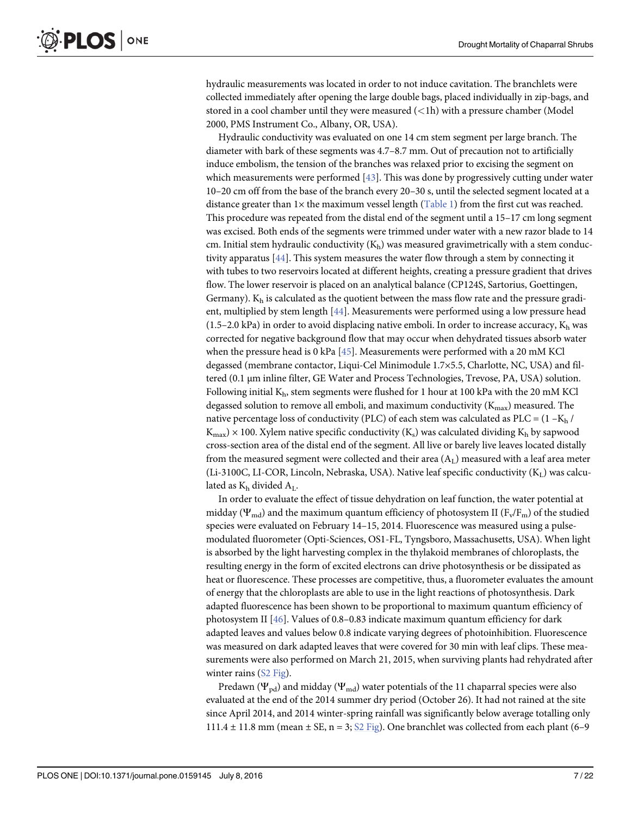<span id="page-6-0"></span>hydraulic measurements was located in order to not induce cavitation. The branchlets were collected immediately after opening the large double bags, placed individually in zip-bags, and stored in a cool chamber until they were measured  $(<1h)$  with a pressure chamber (Model 2000, PMS Instrument Co., Albany, OR, USA).

Hydraulic conductivity was evaluated on one 14 cm stem segment per large branch. The diameter with bark of these segments was 4.7–8.7 mm. Out of precaution not to artificially induce embolism, the tension of the branches was relaxed prior to excising the segment on which measurements were performed [\[43\]](#page-20-0). This was done by progressively cutting under water 10–20 cm off from the base of the branch every 20–30 s, until the selected segment located at a distance greater than  $1 \times$  the maximum vessel length ( $Table 1$ ) from the first cut was reached. This procedure was repeated from the distal end of the segment until a 15–17 cm long segment was excised. Both ends of the segments were trimmed under water with a new razor blade to 14 cm. Initial stem hydraulic conductivity  $(K_h)$  was measured gravimetrically with a stem conductivity apparatus [\[44\]](#page-20-0). This system measures the water flow through a stem by connecting it with tubes to two reservoirs located at different heights, creating a pressure gradient that drives flow. The lower reservoir is placed on an analytical balance (CP124S, Sartorius, Goettingen, Germany).  $K_h$  is calculated as the quotient between the mass flow rate and the pressure gradient, multiplied by stem length [\[44\]](#page-20-0). Measurements were performed using a low pressure head  $(1.5-2.0 \text{ kPa})$  in order to avoid displacing native emboli. In order to increase accuracy,  $K_h$  was corrected for negative background flow that may occur when dehydrated tissues absorb water when the pressure head is 0 kPa [\[45](#page-20-0)]. Measurements were performed with a 20 mM KCl degassed (membrane contactor, Liqui-Cel Minimodule 1.7×5.5, Charlotte, NC, USA) and filtered (0.1 μm inline filter, GE Water and Process Technologies, Trevose, PA, USA) solution. Following initial  $K_h$ , stem segments were flushed for 1 hour at 100 kPa with the 20 mM KCl degassed solution to remove all emboli, and maximum conductivity  $(K_{\text{max}})$  measured. The native percentage loss of conductivity (PLC) of each stem was calculated as PLC =  $(1 - K<sub>h</sub>)$  $K_{\text{max}}$   $\times$  100. Xylem native specific conductivity (K<sub>s</sub>) was calculated dividing K<sub>h</sub> by sapwood cross-section area of the distal end of the segment. All live or barely live leaves located distally from the measured segment were collected and their area  $(A<sub>L</sub>)$  measured with a leaf area meter (Li-3100C, LI-COR, Lincoln, Nebraska, USA). Native leaf specific conductivity  $(K_L)$  was calculated as  $K_h$  divided  $A_L$ .

In order to evaluate the effect of tissue dehydration on leaf function, the water potential at midday ( $\Psi_{\rm md}$ ) and the maximum quantum efficiency of photosystem II ( $F_{\rm v}/F_{\rm m}$ ) of the studied species were evaluated on February 14–15, 2014. Fluorescence was measured using a pulsemodulated fluorometer (Opti-Sciences, OS1-FL, Tyngsboro, Massachusetts, USA). When light is absorbed by the light harvesting complex in the thylakoid membranes of chloroplasts, the resulting energy in the form of excited electrons can drive photosynthesis or be dissipated as heat or fluorescence. These processes are competitive, thus, a fluorometer evaluates the amount of energy that the chloroplasts are able to use in the light reactions of photosynthesis. Dark adapted fluorescence has been shown to be proportional to maximum quantum efficiency of photosystem II [\[46\]](#page-20-0). Values of 0.8–0.83 indicate maximum quantum efficiency for dark adapted leaves and values below 0.8 indicate varying degrees of photoinhibition. Fluorescence was measured on dark adapted leaves that were covered for 30 min with leaf clips. These measurements were also performed on March 21, 2015, when surviving plants had rehydrated after winter rains (S<sub>2</sub> Fig).

Predawn ( $\Psi_{\rm pd}$ ) and midday ( $\Psi_{\rm md}$ ) water potentials of the 11 chaparral species were also evaluated at the end of the 2014 summer dry period (October 26). It had not rained at the site since April 2014, and 2014 winter-spring rainfall was significantly below average totalling only 111.4  $\pm$  11.8 mm (mean  $\pm$  SE, n = 3; [S2 Fig\)](#page-17-0). One branchlet was collected from each plant (6–9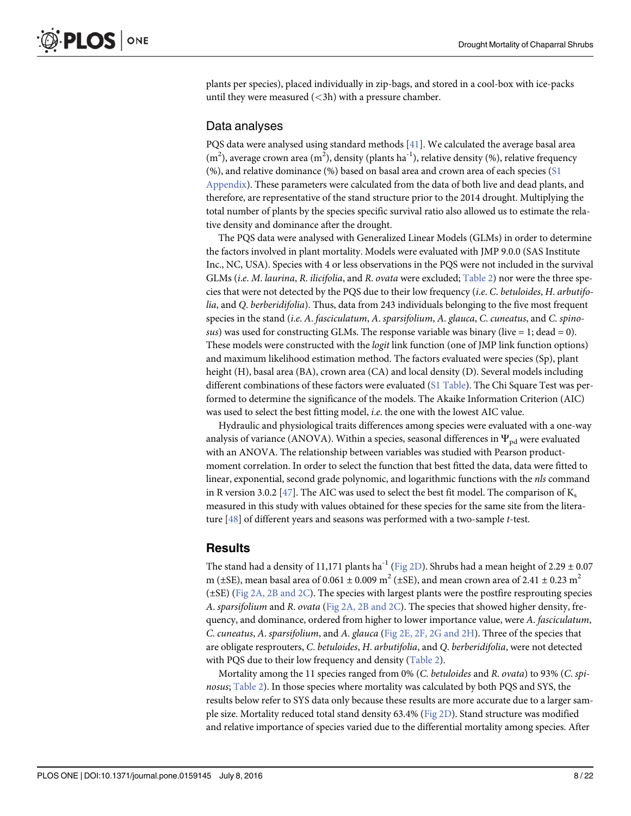<span id="page-7-0"></span>plants per species), placed individually in zip-bags, and stored in a cool-box with ice-packs until they were measured  $(<$ 3h) with a pressure chamber.

#### Data analyses

PQS data were analysed using standard methods [[41](#page-20-0)]. We calculated the average basal area  $(m<sup>2</sup>)$ , average crown area (m<sup>2</sup>), density (plants ha<sup>-1</sup>), relative density (%), relative frequency (%), and relative dominance (%) based on basal area and crown area of each species ([S1](#page-17-0) [Appendix](#page-17-0)). These parameters were calculated from the data of both live and dead plants, and therefore, are representative of the stand structure prior to the 2014 drought. Multiplying the total number of plants by the species specific survival ratio also allowed us to estimate the relative density and dominance after the drought.

The PQS data were analysed with Generalized Linear Models (GLMs) in order to determine the factors involved in plant mortality. Models were evaluated with JMP 9.0.0 (SAS Institute Inc., NC, USA). Species with 4 or less observations in the PQS were not included in the survival GLMs (i.e. M. laurina, R. ilicifolia, and R. ovata were excluded;  $Table 2$ ) nor were the three species that were not detected by the PQS due to their low frequency (*i.e. C. betuloides, H. arbutifo*lia, and Q. berberidifolia). Thus, data from 243 individuals belonging to the five most frequent species in the stand (i.e. A. fasciculatum, A. sparsifolium, A. glauca, C. cuneatus, and C. spinosus) was used for constructing GLMs. The response variable was binary (live  $= 1$ ; dead  $= 0$ ). These models were constructed with the logit link function (one of JMP link function options) and maximum likelihood estimation method. The factors evaluated were species (Sp), plant height (H), basal area (BA), crown area (CA) and local density (D). Several models including different combinations of these factors were evaluated [\(S1 Table](#page-18-0)). The Chi Square Test was performed to determine the significance of the models. The Akaike Information Criterion (AIC) was used to select the best fitting model, i.e. the one with the lowest AIC value.

Hydraulic and physiological traits differences among species were evaluated with a one-way analysis of variance (ANOVA). Within a species, seasonal differences in  $\Psi_{\rm pd}$  were evaluated with an ANOVA. The relationship between variables was studied with Pearson productmoment correlation. In order to select the function that best fitted the data, data were fitted to linear, exponential, second grade polynomic, and logarithmic functions with the nls command in R version 3.0.2 [\[47\]](#page-20-0). The AIC was used to select the best fit model. The comparison of  $K_s$ measured in this study with values obtained for these species for the same site from the literature  $[48]$  $[48]$  $[48]$  of different years and seasons was performed with a two-sample *t*-test.

# **Results**

The stand had a density of 11,171 plants ha<sup>-1</sup> ([Fig 2D](#page-9-0)). Shrubs had a mean height of 2.29  $\pm$  0.07 m ( $\pm$ SE), mean basal area of 0.061  $\pm$  0.009 m<sup>2</sup> ( $\pm$ SE), and mean crown area of 2.41  $\pm$  0.23 m<sup>2</sup> (±SE) ([Fig 2A, 2B and 2C\)](#page-9-0). The species with largest plants were the postfire resprouting species A. sparsifolium and R. ovata ([Fig 2A, 2B and 2C\)](#page-9-0). The species that showed higher density, frequency, and dominance, ordered from higher to lower importance value, were A. fasciculatum, C. cuneatus, A. sparsifolium, and A. glauca ([Fig 2E, 2F, 2G and 2H](#page-9-0)). Three of the species that are obligate resprouters, C. betuloides, H. arbutifolia, and Q. berberidifolia, were not detected with PQS due to their low frequency and density [\(Table 2\)](#page-5-0).

Mortality among the 11 species ranged from 0% (C. betuloides and R. ovata) to 93% (C. spinosus; [Table 2\)](#page-5-0). In those species where mortality was calculated by both PQS and SYS, the results below refer to SYS data only because these results are more accurate due to a larger sample size. Mortality reduced total stand density 63.4% ([Fig 2D](#page-9-0)). Stand structure was modified and relative importance of species varied due to the differential mortality among species. After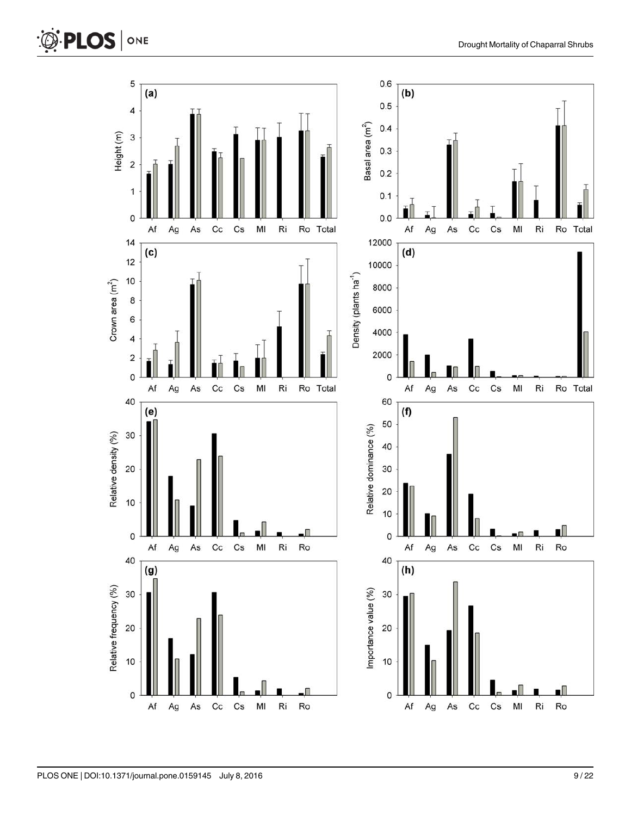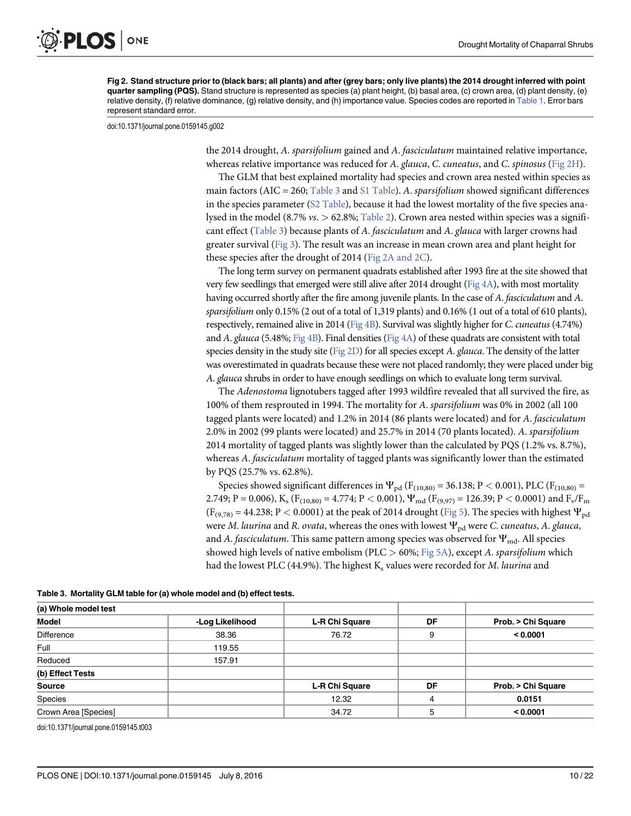<span id="page-9-0"></span>[Fig 2. S](#page-7-0)tand structure prior to (black bars; all plants) and after (grey bars; only live plants) the 2014 drought inferred with point quarter sampling (PQS). Stand structure is represented as species (a) plant height, (b) basal area, (c) crown area, (d) plant density, (e) relative density, (f) relative dominance, (g) relative density, and (h) importance value. Species codes are reported in [Table 1.](#page-4-0) Error bars represent standard error.

doi:10.1371/journal.pone.0159145.g002

the 2014 drought, A. sparsifolium gained and A. fasciculatum maintained relative importance, whereas relative importance was reduced for A. glauca, C. cuneatus, and C. spinosus (Fig  $2H$ ).

The GLM that best explained mortality had species and crown area nested within species as main factors (AIC = 260; Table 3 and [S1 Table](#page-18-0)). A. sparsifolium showed significant differences in the species parameter  $(S2 Table)$  $(S2 Table)$ , because it had the lowest mortality of the five species analysed in the model  $(8.7\% \text{ vs.} > 62.8\%;$  [Table 2](#page-5-0)). Crown area nested within species was a significant effect (Table 3) because plants of A. fasciculatum and A. glauca with larger crowns had greater survival ( $Fig 3$ ). The result was an increase in mean crown area and plant height for these species after the drought of 2014 (Fig 2A and 2C).

The long term survey on permanent quadrats established after 1993 fire at the site showed that very few seedlings that emerged were still alive after 2014 drought ( $Fig 4A$ ), with most mortality having occurred shortly after the fire among juvenile plants. In the case of A. *fasciculatum* and A. sparsifolium only 0.15% (2 out of a total of 1,319 plants) and 0.16% (1 out of a total of 610 plants), respectively, remained alive in 2014 [\(Fig 4B](#page-11-0)). Survival was slightly higher for C. cuneatus (4.74%) and A. glauca (5.48%; Fig  $4B$ ). Final densities (Fig  $4A$ ) of these quadrats are consistent with total species density in the study site ( $Fig 2D$ ) for all species except A. glauca. The density of the latter was overestimated in quadrats because these were not placed randomly; they were placed under big A. glauca shrubs in order to have enough seedlings on which to evaluate long term survival.

The Adenostoma lignotubers tagged after 1993 wildfire revealed that all survived the fire, as 100% of them resprouted in 1994. The mortality for A. sparsifolium was 0% in 2002 (all 100 tagged plants were located) and 1.2% in 2014 (86 plants were located) and for A. fasciculatum 2.0% in 2002 (99 plants were located) and 25.7% in 2014 (70 plants located). A. sparsifolium 2014 mortality of tagged plants was slightly lower than the calculated by PQS (1.2% vs. 8.7%), whereas A. fasciculatum mortality of tagged plants was significantly lower than the estimated by PQS (25.7% vs. 62.8%).

Species showed significant differences in  $\Psi_{pd}$  (F<sub>(10,80)</sub> = 36.138; P < 0.001), PLC (F<sub>(10,80)</sub> = 2.749; P = 0.006), K<sub>s</sub> (F<sub>(10.80)</sub> = 4.774; P < 0.001),  $\Psi_{\text{md}}$  (F<sub>(9.97)</sub> = 126.39; P < 0.0001) and F<sub>v</sub>/F<sub>m</sub>  $(F_{(9,78)} = 44.238; P < 0.0001)$  at the peak of 2014 drought ([Fig 5](#page-13-0)). The species with highest  $\Psi_{pd}$ were M. laurina and R. ovata, whereas the ones with lowest  $\Psi_{pd}$  were C. cuneatus, A. glauca, and A. fasciculatum. This same pattern among species was observed for  $\Psi_{\text{md}}$ . All species showed high levels of native embolism (PLC  $>$  60%; [Fig 5A\)](#page-13-0), except A. sparsifolium which had the lowest PLC (44.9%). The highest  $K_s$  values were recorded for M. laurina and

| (a) Whole model test |                 |                |    |                    |  |
|----------------------|-----------------|----------------|----|--------------------|--|
| <b>Model</b>         | -Log Likelihood | L-R Chi Square | DF | Prob. > Chi Square |  |
| <b>Difference</b>    | 38.36           | 76.72          | 9  | < 0.0001           |  |
| Full                 | 119.55          |                |    |                    |  |
| Reduced              | 157.91          |                |    |                    |  |
| (b) Effect Tests     |                 |                |    |                    |  |
| <b>Source</b>        |                 | L-R Chi Square | DF | Prob. > Chi Square |  |
| Species              |                 | 12.32          | 4  | 0.0151             |  |
| Crown Area [Species] |                 | 34.72          |    | < 0.0001           |  |

Table 3. Mortality GLM table for (a) whole model and (b) effect tests.

doi:10.1371/journal.pone.0159145.t003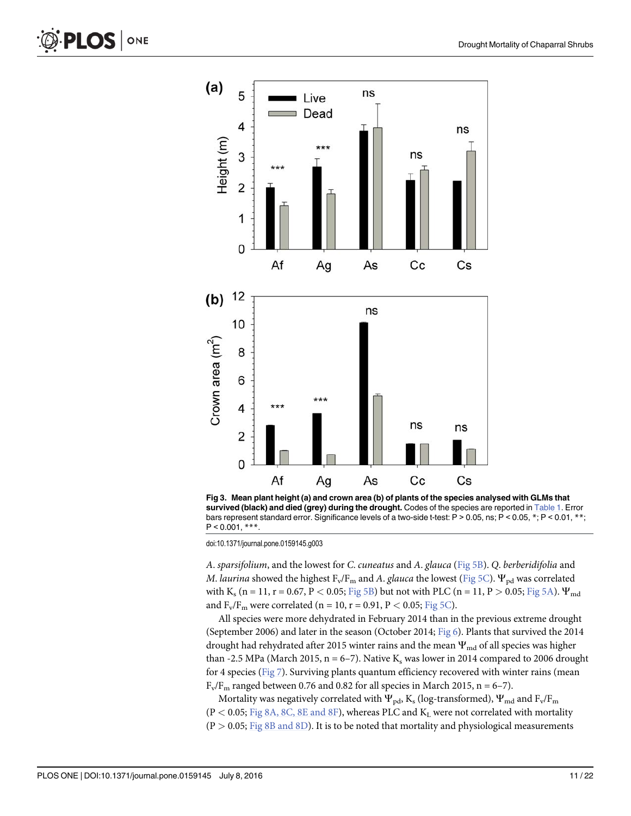<span id="page-10-0"></span>



doi:10.1371/journal.pone.0159145.g003

A. sparsifolium, and the lowest for C. cuneatus and A. glauca ([Fig 5B](#page-13-0)). Q. berberidifolia and M. laurina showed the highest  $F_v/F_m$  and A. glauca the lowest [\(Fig 5C](#page-13-0)).  $\Psi_{pd}$  was correlated with K<sub>s</sub> (n = 11, r = 0.67, P < 0.05; [Fig 5B](#page-13-0)) but not with PLC (n = 11, P > 0.05; [Fig 5A\)](#page-13-0).  $\Psi_{\text{md}}$ and  $F_v/F_m$  were correlated (n = 10, r = 0.91, P < 0.05; [Fig 5C](#page-13-0)).

All species were more dehydrated in February 2014 than in the previous extreme drought (September 2006) and later in the season (October 2014; [Fig 6](#page-13-0)). Plants that survived the 2014 drought had rehydrated after 2015 winter rains and the mean  $\Psi_{\rm md}$  of all species was higher than -2.5 MPa (March 2015,  $n = 6-7$ ). Native K<sub>s</sub> was lower in 2014 compared to 2006 drought for 4 species [\(Fig 7](#page-14-0)). Surviving plants quantum efficiency recovered with winter rains (mean  $F_v/F_m$  ranged between 0.76 and 0.82 for all species in March 2015, n = 6–7).

Mortality was negatively correlated with  $\Psi_{\rm pd}$ , K<sub>s</sub> (log-transformed),  $\Psi_{\rm md}$  and  $F_{\rm v}/F_{\rm m}$  $(P < 0.05;$  [Fig 8A, 8C, 8E and 8F](#page-16-0)), whereas PLC and  $K<sub>L</sub>$  were not correlated with mortality  $(P > 0.05; Fig 8B and 8D)$  $(P > 0.05; Fig 8B and 8D)$ . It is to be noted that mortality and physiological measurements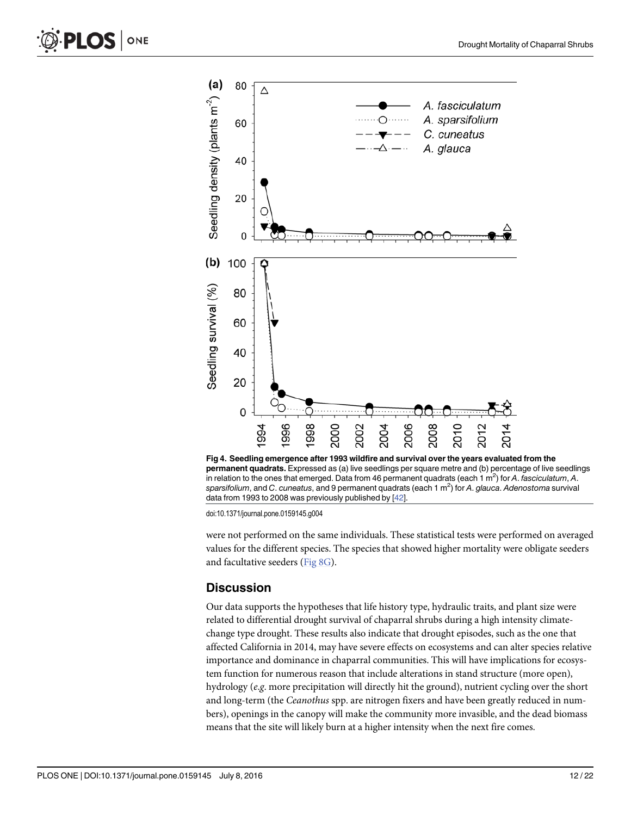<span id="page-11-0"></span>



[Fig 4. S](#page-9-0)eedling emergence after 1993 wildfire and survival over the years evaluated from the permanent quadrats. Expressed as (a) live seedlings per square metre and (b) percentage of live seedlings in relation to the ones that emerged. Data from 46 permanent quadrats (each 1 m<sup>2</sup>) for A. fasciculatum, A. sparsifolium, and C. cuneatus, and 9 permanent quadrats (each 1 m<sup>2</sup>) for A. glauca. Adenostoma survival data from 1993 to 2008 was previously published by [[42\]](#page-20-0).

doi:10.1371/journal.pone.0159145.g004

were not performed on the same individuals. These statistical tests were performed on averaged values for the different species. The species that showed higher mortality were obligate seeders and facultative seeders ([Fig 8G](#page-16-0)).

#### **Discussion**

Our data supports the hypotheses that life history type, hydraulic traits, and plant size were related to differential drought survival of chaparral shrubs during a high intensity climatechange type drought. These results also indicate that drought episodes, such as the one that affected California in 2014, may have severe effects on ecosystems and can alter species relative importance and dominance in chaparral communities. This will have implications for ecosystem function for numerous reason that include alterations in stand structure (more open), hydrology (e.g. more precipitation will directly hit the ground), nutrient cycling over the short and long-term (the *Ceanothus* spp. are nitrogen fixers and have been greatly reduced in numbers), openings in the canopy will make the community more invasible, and the dead biomass means that the site will likely burn at a higher intensity when the next fire comes.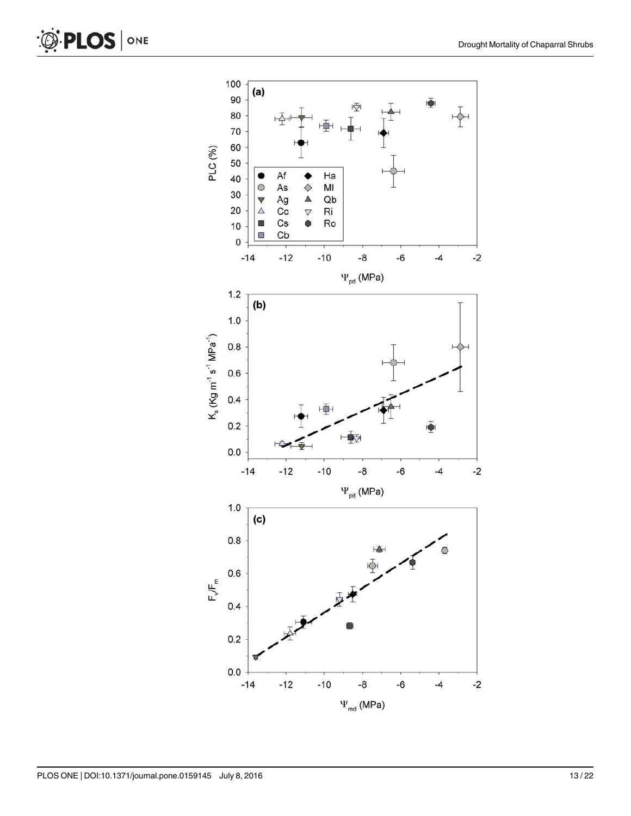

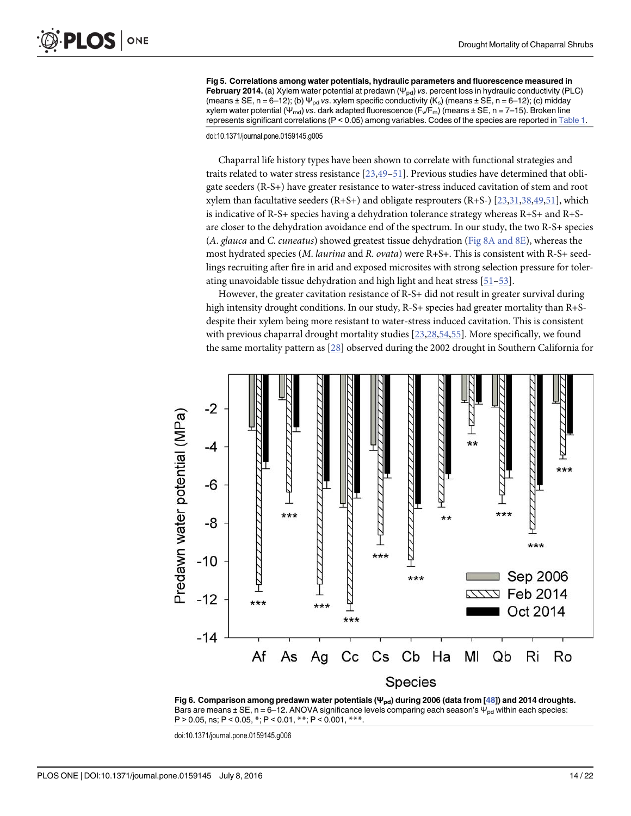<span id="page-13-0"></span>[Fig 5. C](#page-9-0)orrelations among water potentials, hydraulic parameters and fluorescence measured in February 2014. (a) Xylem water potential at predawn  $(\Psi_{\text{pd}})$  vs. percent loss in hydraulic conductivity (PLC) (means  $\pm$  SE, n = 6–12); (b)  $\Psi_{\text{pd}}$  vs. xylem specific conductivity (K<sub>s</sub>) (means  $\pm$  SE, n = 6–12); (c) midday xylem water potential (Ψ<sub>md</sub>) vs. dark adapted fluorescence (F<sub>v</sub>/F<sub>m</sub>) (means ± SE, n = 7–15). Broken line represents significant correlations (P < 0.05) among variables. Codes of the species are reported in [Table 1](#page-4-0).

doi:10.1371/journal.pone.0159145.g005

Chaparral life history types have been shown to correlate with functional strategies and traits related to water stress resistance [[23](#page-19-0),[49](#page-20-0)–[51\]](#page-20-0). Previous studies have determined that obligate seeders (R-S+) have greater resistance to water-stress induced cavitation of stem and root xylem than facultative seeders  $(R+S+)$  and obligate resprouters  $(R+S-)$  [[23,31](#page-19-0)[,38,49,51](#page-20-0)], which is indicative of R-S+ species having a dehydration tolerance strategy whereas R+S+ and R+Sare closer to the dehydration avoidance end of the spectrum. In our study, the two R-S+ species (A. glauca and C. cuneatus) showed greatest tissue dehydration [\(Fig 8A and 8E\)](#page-16-0), whereas the most hydrated species (M. laurina and R. ovata) were R+S+. This is consistent with R-S+ seedlings recruiting after fire in arid and exposed microsites with strong selection pressure for tolerating unavoidable tissue dehydration and high light and heat stress  $[51 - 53]$  $[51 - 53]$  $[51 - 53]$ .

However, the greater cavitation resistance of R-S+ did not result in greater survival during high intensity drought conditions. In our study, R-S+ species had greater mortality than R+Sdespite their xylem being more resistant to water-stress induced cavitation. This is consistent with previous chaparral drought mortality studies [[23,28,](#page-19-0)[54,55](#page-20-0)]. More specifically, we found the same mortality pattern as [\[28\]](#page-19-0) observed during the 2002 drought in Southern California for





doi:10.1371/journal.pone.0159145.g006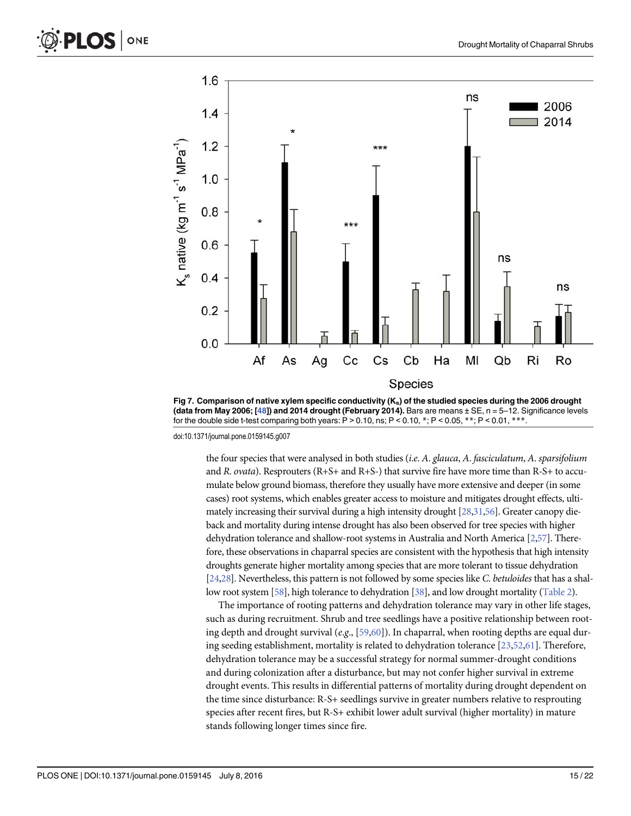<span id="page-14-0"></span>

[Fig 7.](#page-10-0) Comparison of native xylem specific conductivity  $(K_s)$  of the studied species during the 2006 drought (data from May 2006;  $[48]$  $[48]$ ) and 2014 drought (February 2014). Bars are means  $\pm$  SE, n = 5–12. Significance levels for the double side t-test comparing both years:  $P > 0.10$ , ns;  $P < 0.10$ ,  $*$ ;  $P < 0.05$ ,  $**$ ;  $P < 0.01$ ,  $***$ .

doi:10.1371/journal.pone.0159145.g007

the four species that were analysed in both studies (i.e. A. glauca, A. fasciculatum, A. sparsifolium and R. ovata). Resprouters  $(R+S+$  and  $R+S-)$  that survive fire have more time than R-S+ to accumulate below ground biomass, therefore they usually have more extensive and deeper (in some cases) root systems, which enables greater access to moisture and mitigates drought effects, ultimately increasing their survival during a high intensity drought [\[28,31,](#page-19-0)[56](#page-20-0)]. Greater canopy dieback and mortality during intense drought has also been observed for tree species with higher dehydration tolerance and shallow-root systems in Australia and North America [[2](#page-18-0),[57\]](#page-20-0). Therefore, these observations in chaparral species are consistent with the hypothesis that high intensity droughts generate higher mortality among species that are more tolerant to tissue dehydration [\[24,28\]](#page-19-0). Nevertheless, this pattern is not followed by some species like C. betuloides that has a shal-low root system [\[58\]](#page-20-0), high tolerance to dehydration [[38\]](#page-20-0), and low drought mortality ([Table 2\)](#page-5-0).

The importance of rooting patterns and dehydration tolerance may vary in other life stages, such as during recruitment. Shrub and tree seedlings have a positive relationship between rooting depth and drought survival (e.g.,  $[59,60]$  $[59,60]$ ). In chaparral, when rooting depths are equal dur-ing seeding establishment, mortality is related to dehydration tolerance [\[23,](#page-19-0)[52,](#page-20-0)[61](#page-21-0)]. Therefore, dehydration tolerance may be a successful strategy for normal summer-drought conditions and during colonization after a disturbance, but may not confer higher survival in extreme drought events. This results in differential patterns of mortality during drought dependent on the time since disturbance: R-S+ seedlings survive in greater numbers relative to resprouting species after recent fires, but R-S+ exhibit lower adult survival (higher mortality) in mature stands following longer times since fire.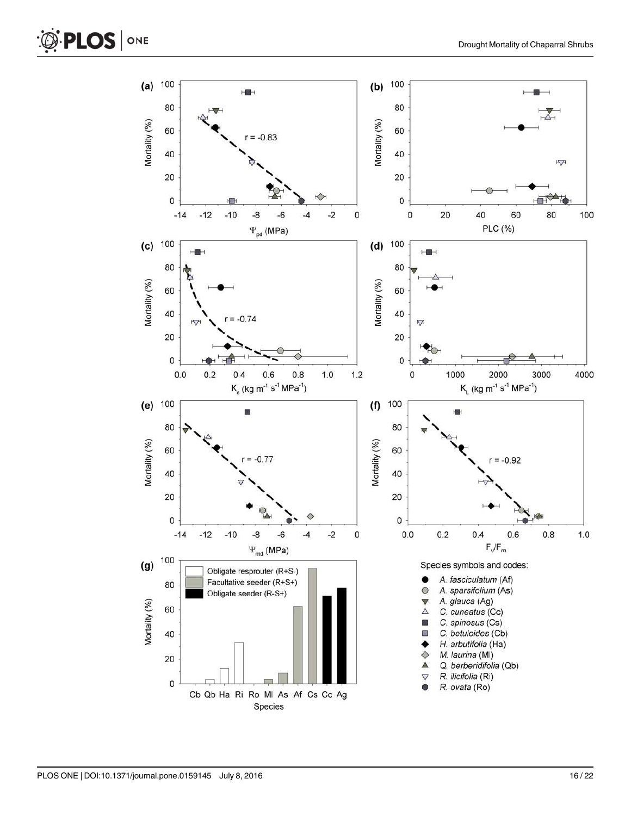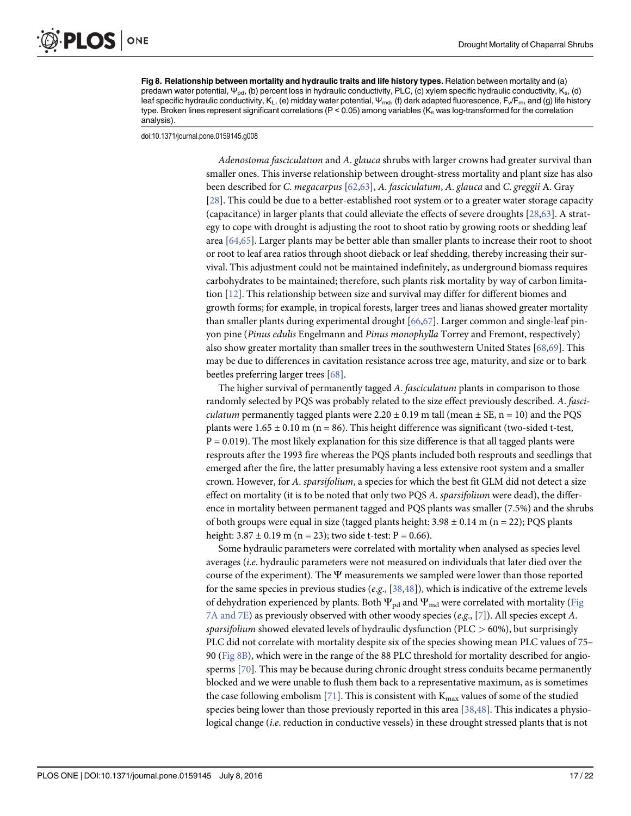<span id="page-16-0"></span>[Fig 8. R](#page-10-0)elationship between mortality and hydraulic traits and life history types. Relation between mortality and (a) predawn water potential, Ψ<sub>pd</sub>, (b) percent loss in hydraulic conductivity, PLC, (c) xylem specific hydraulic conductivity, K<sub>s</sub>, (d) leaf specific hydraulic conductivity, K<sub>L</sub>, (e) midday water potential, Ψ<sub>md</sub>, (f) dark adapted fluorescence, F<sub>v</sub>/F<sub>m</sub>, and (g) life history type. Broken lines represent significant correlations ( $P < 0.05$ ) among variables ( $K_s$  was log-transformed for the correlation analysis).

doi:10.1371/journal.pone.0159145.g008

Adenostoma fasciculatum and A. glauca shrubs with larger crowns had greater survival than smaller ones. This inverse relationship between drought-stress mortality and plant size has also been described for C. megacarpus [[62,63](#page-21-0)], A. fasciculatum, A. glauca and C. greggii A. Gray [\[28](#page-19-0)]. This could be due to a better-established root system or to a greater water storage capacity (capacitance) in larger plants that could alleviate the effects of severe droughts [[28](#page-19-0)[,63](#page-21-0)]. A strategy to cope with drought is adjusting the root to shoot ratio by growing roots or shedding leaf area [\[64,65\]](#page-21-0). Larger plants may be better able than smaller plants to increase their root to shoot or root to leaf area ratios through shoot dieback or leaf shedding, thereby increasing their survival. This adjustment could not be maintained indefinitely, as underground biomass requires carbohydrates to be maintained; therefore, such plants risk mortality by way of carbon limitation [[12](#page-18-0)]. This relationship between size and survival may differ for different biomes and growth forms; for example, in tropical forests, larger trees and lianas showed greater mortality than smaller plants during experimental drought [[66](#page-21-0),[67](#page-21-0)]. Larger common and single-leaf pinyon pine (Pinus edulis Engelmann and Pinus monophylla Torrey and Fremont, respectively) also show greater mortality than smaller trees in the southwestern United States [[68](#page-21-0),[69](#page-21-0)]. This may be due to differences in cavitation resistance across tree age, maturity, and size or to bark beetles preferring larger trees [[68](#page-21-0)].

The higher survival of permanently tagged A, *fasciculatum* plants in comparison to those randomly selected by PQS was probably related to the size effect previously described. A. fasci*culatum* permanently tagged plants were 2.20  $\pm$  0.19 m tall (mean  $\pm$  SE, n = 10) and the PQS plants were  $1.65 \pm 0.10$  m (n = 86). This height difference was significant (two-sided t-test,  $P = 0.019$ ). The most likely explanation for this size difference is that all tagged plants were resprouts after the 1993 fire whereas the PQS plants included both resprouts and seedlings that emerged after the fire, the latter presumably having a less extensive root system and a smaller crown. However, for A. sparsifolium, a species for which the best fit GLM did not detect a size effect on mortality (it is to be noted that only two PQS A. *sparsifolium* were dead), the difference in mortality between permanent tagged and PQS plants was smaller (7.5%) and the shrubs of both groups were equal in size (tagged plants height:  $3.98 \pm 0.14$  m (n = 22); PQS plants height:  $3.87 \pm 0.19$  m (n = 23); two side t-test: P = 0.66).

Some hydraulic parameters were correlated with mortality when analysed as species level averages (i.e. hydraulic parameters were not measured on individuals that later died over the course of the experiment). The  $\Psi$  measurements we sampled were lower than those reported for the same species in previous studies (e.g.,  $[38,48]$  $[38,48]$  $[38,48]$  $[38,48]$  $[38,48]$ ), which is indicative of the extreme levels of dehydration experienced by plants. Both  $\Psi_{pd}$  and  $\Psi_{md}$  were correlated with mortality ([Fig](#page-14-0) [7A and 7E\)](#page-14-0) as previously observed with other woody species (e.g., [\[7\]](#page-18-0)). All species except A. sparsifolium showed elevated levels of hydraulic dysfunction (PLC  $> 60\%$ ), but surprisingly PLC did not correlate with mortality despite six of the species showing mean PLC values of 75– 90 (Fig 8B), which were in the range of the 88 PLC threshold for mortality described for angio-sperms [\[70\]](#page-21-0). This may be because during chronic drought stress conduits became permanently blocked and we were unable to flush them back to a representative maximum, as is sometimes the case following embolism [[71](#page-21-0)]. This is consistent with  $K_{\text{max}}$  values of some of the studied species being lower than those previously reported in this area  $[38,48]$  $[38,48]$  $[38,48]$  $[38,48]$  $[38,48]$ . This indicates a physiological change (i.e. reduction in conductive vessels) in these drought stressed plants that is not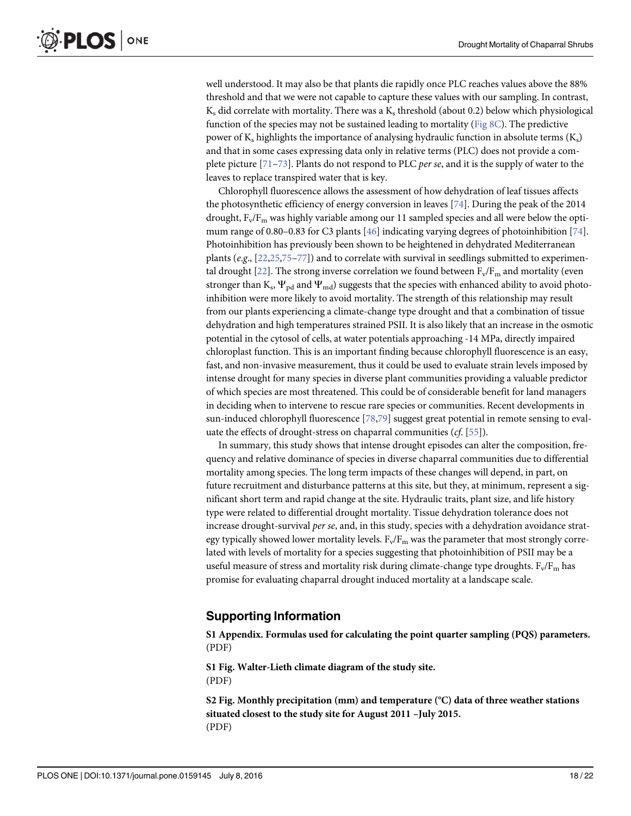<span id="page-17-0"></span>well understood. It may also be that plants die rapidly once PLC reaches values above the 88% threshold and that we were not capable to capture these values with our sampling. In contrast,  $K_s$  did correlate with mortality. There was a  $K_s$  threshold (about 0.2) below which physiological function of the species may not be sustained leading to mortality (Fig  $8C$ ). The predictive power of K<sub>s</sub> highlights the importance of analysing hydraulic function in absolute terms  $(K_s)$ and that in some cases expressing data only in relative terms (PLC) does not provide a complete picture  $[71–73]$  $[71–73]$  $[71–73]$  $[71–73]$  $[71–73]$ . Plants do not respond to PLC *per se*, and it is the supply of water to the leaves to replace transpired water that is key.

Chlorophyll fluorescence allows the assessment of how dehydration of leaf tissues affects the photosynthetic efficiency of energy conversion in leaves  $[74]$  $[74]$  $[74]$ . During the peak of the 2014 drought,  $F_v/F_m$  was highly variable among our 11 sampled species and all were below the optimum range of 0.80–0.83 for C3 plants  $[46]$  $[46]$  $[46]$  indicating varying degrees of photoinhibition  $[74]$ . Photoinhibition has previously been shown to be heightened in dehydrated Mediterranean plants (e.g.,  $[22,25,75-77]$  $[22,25,75-77]$  $[22,25,75-77]$  $[22,25,75-77]$  $[22,25,75-77]$ ) and to correlate with survival in seedlings submitted to experimental drought  $[22]$  $[22]$  $[22]$ . The strong inverse correlation we found between  $F_v/F_m$  and mortality (even stronger than K<sub>s</sub>,  $\Psi_{pd}$  and  $\Psi_{md}$ ) suggests that the species with enhanced ability to avoid photoinhibition were more likely to avoid mortality. The strength of this relationship may result from our plants experiencing a climate-change type drought and that a combination of tissue dehydration and high temperatures strained PSII. It is also likely that an increase in the osmotic potential in the cytosol of cells, at water potentials approaching -14 MPa, directly impaired chloroplast function. This is an important finding because chlorophyll fluorescence is an easy, fast, and non-invasive measurement, thus it could be used to evaluate strain levels imposed by intense drought for many species in diverse plant communities providing a valuable predictor of which species are most threatened. This could be of considerable benefit for land managers in deciding when to intervene to rescue rare species or communities. Recent developments in sun-induced chlorophyll fluorescence [[78](#page-21-0),[79](#page-21-0)] suggest great potential in remote sensing to evaluate the effects of drought-stress on chaparral communities (cf. [\[55\]](#page-20-0)).

In summary, this study shows that intense drought episodes can alter the composition, frequency and relative dominance of species in diverse chaparral communities due to differential mortality among species. The long term impacts of these changes will depend, in part, on future recruitment and disturbance patterns at this site, but they, at minimum, represent a significant short term and rapid change at the site. Hydraulic traits, plant size, and life history type were related to differential drought mortality. Tissue dehydration tolerance does not increase drought-survival per se, and, in this study, species with a dehydration avoidance strategy typically showed lower mortality levels.  $F_v/F_m$  was the parameter that most strongly correlated with levels of mortality for a species suggesting that photoinhibition of PSII may be a useful measure of stress and mortality risk during climate-change type droughts.  $F_v/F_m$  has promise for evaluating chaparral drought induced mortality at a landscape scale.

# Supporting Information

[S1 Appendix.](http://www.plosone.org/article/fetchSingleRepresentation.action?uri=info:doi/10.1371/journal.pone.0159145.s001) Formulas used for calculating the point quarter sampling (PQS) parameters. (PDF)

[S1 Fig.](http://www.plosone.org/article/fetchSingleRepresentation.action?uri=info:doi/10.1371/journal.pone.0159145.s002) Walter-Lieth climate diagram of the study site. (PDF)

[S2 Fig.](http://www.plosone.org/article/fetchSingleRepresentation.action?uri=info:doi/10.1371/journal.pone.0159145.s003) Monthly precipitation (mm) and temperature (°C) data of three weather stations situated closest to the study site for August 2011 –July 2015. (PDF)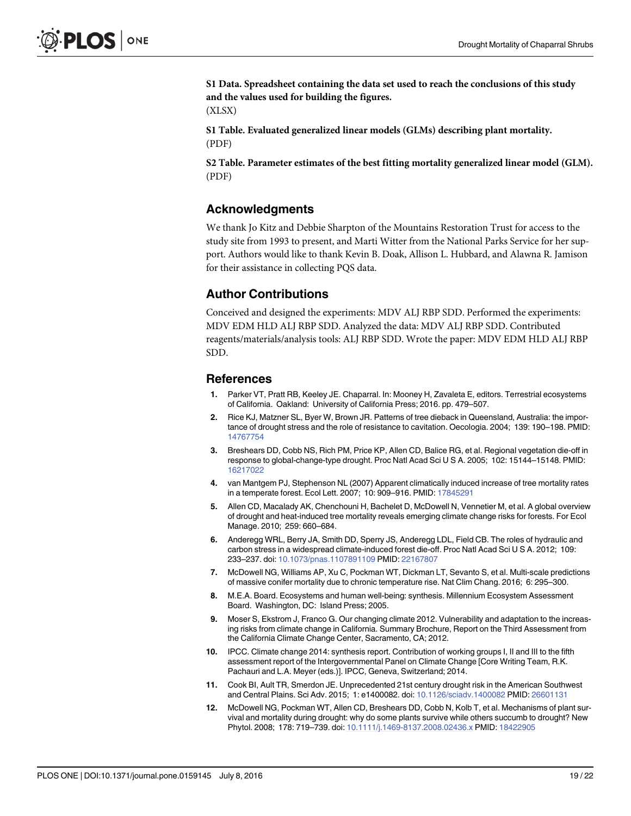<span id="page-18-0"></span>[S1 Data](http://www.plosone.org/article/fetchSingleRepresentation.action?uri=info:doi/10.1371/journal.pone.0159145.s004). Spreadsheet containing the data set used to reach the conclusions of this study and the values used for building the figures.

(XLSX)

[S1 Table](http://www.plosone.org/article/fetchSingleRepresentation.action?uri=info:doi/10.1371/journal.pone.0159145.s005). Evaluated generalized linear models (GLMs) describing plant mortality. (PDF)

[S2 Table](http://www.plosone.org/article/fetchSingleRepresentation.action?uri=info:doi/10.1371/journal.pone.0159145.s006). Parameter estimates of the best fitting mortality generalized linear model (GLM). (PDF)

# Acknowledgments

We thank Jo Kitz and Debbie Sharpton of the Mountains Restoration Trust for access to the study site from 1993 to present, and Marti Witter from the National Parks Service for her support. Authors would like to thank Kevin B. Doak, Allison L. Hubbard, and Alawna R. Jamison for their assistance in collecting PQS data.

# Author Contributions

Conceived and designed the experiments: MDV ALJ RBP SDD. Performed the experiments: MDV EDM HLD ALJ RBP SDD. Analyzed the data: MDV ALJ RBP SDD. Contributed reagents/materials/analysis tools: ALJ RBP SDD. Wrote the paper: MDV EDM HLD ALJ RBP SDD.

#### References

- [1.](#page-1-0) Parker VT, Pratt RB, Keeley JE. Chaparral. In: Mooney H, Zavaleta E, editors. Terrestrial ecosystems of California. Oakland: University of California Press; 2016. pp. 479–507.
- [2.](#page-1-0) Rice KJ, Matzner SL, Byer W, Brown JR. Patterns of tree dieback in Queensland, Australia: the importance of drought stress and the role of resistance to cavitation. Oecologia. 2004; 139: 190–198. PMID: [14767754](http://www.ncbi.nlm.nih.gov/pubmed/14767754)
- [3.](#page-2-0) Breshears DD, Cobb NS, Rich PM, Price KP, Allen CD, Balice RG, et al. Regional vegetation die-off in response to global-change-type drought. Proc Natl Acad Sci U S A. 2005; 102: 15144–15148. PMID: [16217022](http://www.ncbi.nlm.nih.gov/pubmed/16217022)
- 4. van Mantgem PJ, Stephenson NL (2007) Apparent climatically induced increase of tree mortality rates in a temperate forest. Ecol Lett. 2007; 10: 909–916. PMID: [17845291](http://www.ncbi.nlm.nih.gov/pubmed/17845291)
- 5. Allen CD, Macalady AK, Chenchouni H, Bachelet D, McDowell N, Vennetier M, et al. A global overview of drought and heat-induced tree mortality reveals emerging climate change risks for forests. For Ecol Manage. 2010; 259: 660–684.
- 6. Anderegg WRL, Berry JA, Smith DD, Sperry JS, Anderegg LDL, Field CB. The roles of hydraulic and carbon stress in a widespread climate-induced forest die-off. Proc Natl Acad Sci U S A. 2012; 109: 233–237. doi: [10.1073/pnas.1107891109](http://dx.doi.org/10.1073/pnas.1107891109) PMID: [22167807](http://www.ncbi.nlm.nih.gov/pubmed/22167807)
- [7.](#page-1-0) McDowell NG, Williams AP, Xu C, Pockman WT, Dickman LT, Sevanto S, et al. Multi-scale predictions of massive conifer mortality due to chronic temperature rise. Nat Clim Chang. 2016; 6: 295–300.
- [8.](#page-1-0) M.E.A. Board. Ecosystems and human well-being: synthesis. Millennium Ecosystem Assessment Board. Washington, DC: Island Press; 2005.
- [9.](#page-1-0) Moser S, Ekstrom J, Franco G. Our changing climate 2012. Vulnerability and adaptation to the increasing risks from climate change in California. Summary Brochure, Report on the Third Assessment from the California Climate Change Center, Sacramento, CA; 2012.
- 10. IPCC. Climate change 2014: synthesis report. Contribution of working groups I, II and III to the fifth assessment report of the Intergovernmental Panel on Climate Change [Core Writing Team, R.K. Pachauri and L.A. Meyer (eds.)]. IPCC, Geneva, Switzerland; 2014.
- [11.](#page-1-0) Cook BI, Ault TR, Smerdon JE. Unprecedented 21st century drought risk in the American Southwest and Central Plains. Sci Adv. 2015; 1: e1400082. doi: [10.1126/sciadv.1400082](http://dx.doi.org/10.1126/sciadv.1400082) PMID: [26601131](http://www.ncbi.nlm.nih.gov/pubmed/26601131)
- [12.](#page-1-0) McDowell NG, Pockman WT, Allen CD, Breshears DD, Cobb N, Kolb T, et al. Mechanisms of plant survival and mortality during drought: why do some plants survive while others succumb to drought? New Phytol. 2008; 178: 719–739. doi: [10.1111/j.1469-8137.2008.02436.x](http://dx.doi.org/10.1111/j.1469-8137.2008.02436.x) PMID: [18422905](http://www.ncbi.nlm.nih.gov/pubmed/18422905)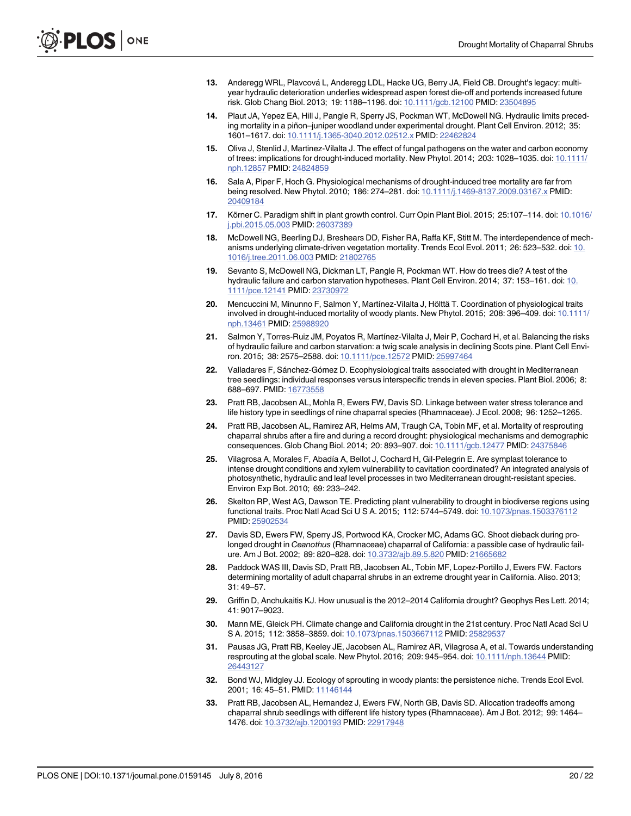- <span id="page-19-0"></span>[13.](#page-1-0) Anderegg WRL, Plavcová L, Anderegg LDL, Hacke UG, Berry JA, Field CB. Drought's legacy: multiyear hydraulic deterioration underlies widespread aspen forest die-off and portends increased future risk. Glob Chang Biol. 2013; 19: 1188–1196. doi: [10.1111/gcb.12100](http://dx.doi.org/10.1111/gcb.12100) PMID: [23504895](http://www.ncbi.nlm.nih.gov/pubmed/23504895)
- [14.](#page-1-0) Plaut JA, Yepez EA, Hill J, Pangle R, Sperry JS, Pockman WT, McDowell NG. Hydraulic limits preceding mortality in a piñon–juniper woodland under experimental drought. Plant Cell Environ. 2012; 35: 1601–1617. doi: [10.1111/j.1365-3040.2012.02512.x](http://dx.doi.org/10.1111/j.1365-3040.2012.02512.x) PMID: [22462824](http://www.ncbi.nlm.nih.gov/pubmed/22462824)
- [15.](#page-1-0) Oliva J, Stenlid J, Martinez-Vilalta J. The effect of fungal pathogens on the water and carbon economy of trees: implications for drought-induced mortality. New Phytol. 2014; 203: 1028–1035. doi: [10.1111/](http://dx.doi.org/10.1111/nph.12857) [nph.12857](http://dx.doi.org/10.1111/nph.12857) PMID: [24824859](http://www.ncbi.nlm.nih.gov/pubmed/24824859)
- Sala A, Piper F, Hoch G. Physiological mechanisms of drought-induced tree mortality are far from being resolved. New Phytol. 2010; 186: 274-281. doi: [10.1111/j.1469-8137.2009.03167.x](http://dx.doi.org/10.1111/j.1469-8137.2009.03167.x) PMID: [20409184](http://www.ncbi.nlm.nih.gov/pubmed/20409184)
- [17.](#page-1-0) Körner C. Paradigm shift in plant growth control. Curr Opin Plant Biol. 2015; 25:107–114. doi: [10.1016/](http://dx.doi.org/10.1016/j.pbi.2015.05.003) [j.pbi.2015.05.003](http://dx.doi.org/10.1016/j.pbi.2015.05.003) PMID: [26037389](http://www.ncbi.nlm.nih.gov/pubmed/26037389)
- [18.](#page-1-0) McDowell NG, Beerling DJ, Breshears DD, Fisher RA, Raffa KF, Stitt M. The interdependence of mechanisms underlying climate-driven vegetation mortality. Trends Ecol Evol. 2011; 26: 523–532. doi: [10.](http://dx.doi.org/10.1016/j.tree.2011.06.003) [1016/j.tree.2011.06.003](http://dx.doi.org/10.1016/j.tree.2011.06.003) PMID: [21802765](http://www.ncbi.nlm.nih.gov/pubmed/21802765)
- 19. Sevanto S, McDowell NG, Dickman LT, Pangle R, Pockman WT. How do trees die? A test of the hydraulic failure and carbon starvation hypotheses. Plant Cell Environ. 2014; 37: 153–161. doi: [10.](http://dx.doi.org/10.1111/pce.12141) [1111/pce.12141](http://dx.doi.org/10.1111/pce.12141) PMID: [23730972](http://www.ncbi.nlm.nih.gov/pubmed/23730972)
- [20.](#page-1-0) Mencuccini M, Minunno F, Salmon Y, Martínez-Vilalta J, Hölttä T. Coordination of physiological traits involved in drought-induced mortality of woody plants. New Phytol. 2015; 208: 396–409. doi: [10.1111/](http://dx.doi.org/10.1111/nph.13461) [nph.13461](http://dx.doi.org/10.1111/nph.13461) PMID: [25988920](http://www.ncbi.nlm.nih.gov/pubmed/25988920)
- [21.](#page-1-0) Salmon Y, Torres-Ruiz JM, Poyatos R, Martínez-Vilalta J, Meir P, Cochard H, et al. Balancing the risks of hydraulic failure and carbon starvation: a twig scale analysis in declining Scots pine. Plant Cell Environ. 2015; 38: 2575–2588. doi: [10.1111/pce.12572](http://dx.doi.org/10.1111/pce.12572) PMID: [25997464](http://www.ncbi.nlm.nih.gov/pubmed/25997464)
- [22.](#page-1-0) Valladares F, Sánchez-Gómez D. Ecophysiological traits associated with drought in Mediterranean tree seedlings: individual responses versus interspecific trends in eleven species. Plant Biol. 2006; 8: 688–697. PMID: [16773558](http://www.ncbi.nlm.nih.gov/pubmed/16773558)
- [23.](#page-13-0) Pratt RB, Jacobsen AL, Mohla R, Ewers FW, Davis SD. Linkage between water stress tolerance and life history type in seedlings of nine chaparral species (Rhamnaceae). J Ecol. 2008; 96: 1252–1265.
- [24.](#page-1-0) Pratt RB, Jacobsen AL, Ramirez AR, Helms AM, Traugh CA, Tobin MF, et al. Mortality of resprouting chaparral shrubs after a fire and during a record drought: physiological mechanisms and demographic consequences. Glob Chang Biol. 2014; 20: 893–907. doi: [10.1111/gcb.12477](http://dx.doi.org/10.1111/gcb.12477) PMID: [24375846](http://www.ncbi.nlm.nih.gov/pubmed/24375846)
- [25.](#page-17-0) Vilagrosa A, Morales F, Abadía A, Bellot J, Cochard H, Gil-Pelegrin E. Are symplast tolerance to intense drought conditions and xylem vulnerability to cavitation coordinated? An integrated analysis of photosynthetic, hydraulic and leaf level processes in two Mediterranean drought-resistant species. Environ Exp Bot. 2010; 69: 233–242.
- [26.](#page-1-0) Skelton RP, West AG, Dawson TE. Predicting plant vulnerability to drought in biodiverse regions using functional traits. Proc Natl Acad Sci U S A. 2015; 112: 5744–5749. doi: [10.1073/pnas.1503376112](http://dx.doi.org/10.1073/pnas.1503376112) PMID: [25902534](http://www.ncbi.nlm.nih.gov/pubmed/25902534)
- [27.](#page-1-0) Davis SD, Ewers FW, Sperry JS, Portwood KA, Crocker MC, Adams GC. Shoot dieback during prolonged drought in Ceanothus (Rhamnaceae) chaparral of California: a passible case of hydraulic failure. Am J Bot. 2002; 89: 820–828. doi: [10.3732/ajb.89.5.820](http://dx.doi.org/10.3732/ajb.89.5.820) PMID: [21665682](http://www.ncbi.nlm.nih.gov/pubmed/21665682)
- [28.](#page-1-0) Paddock WAS III, Davis SD, Pratt RB, Jacobsen AL, Tobin MF, Lopez-Portillo J, Ewers FW. Factors determining mortality of adult chaparral shrubs in an extreme drought year in California. Aliso. 2013; 31: 49–57.
- [29.](#page-1-0) Griffin D, Anchukaitis KJ. How unusual is the 2012–2014 California drought? Geophys Res Lett. 2014; 41: 9017–9023.
- [30.](#page-1-0) Mann ME, Gleick PH. Climate change and California drought in the 21st century. Proc Natl Acad Sci U S A. 2015; 112: 3858–3859. doi: [10.1073/pnas.1503667112](http://dx.doi.org/10.1073/pnas.1503667112) PMID: [25829537](http://www.ncbi.nlm.nih.gov/pubmed/25829537)
- [31.](#page-2-0) Pausas JG, Pratt RB, Keeley JE, Jacobsen AL, Ramirez AR, Vilagrosa A, et al. Towards understanding resprouting at the global scale. New Phytol. 2016; 209: 945-954. doi: [10.1111/nph.13644](http://dx.doi.org/10.1111/nph.13644) PMID: [26443127](http://www.ncbi.nlm.nih.gov/pubmed/26443127)
- [32.](#page-2-0) Bond WJ, Midgley JJ. Ecology of sprouting in woody plants: the persistence niche. Trends Ecol Evol. 2001; 16: 45–51. PMID: [11146144](http://www.ncbi.nlm.nih.gov/pubmed/11146144)
- [33.](#page-2-0) Pratt RB, Jacobsen AL, Hernandez J, Ewers FW, North GB, Davis SD. Allocation tradeoffs among chaparral shrub seedlings with different life history types (Rhamnaceae). Am J Bot. 2012; 99: 1464– 1476. doi: [10.3732/ajb.1200193](http://dx.doi.org/10.3732/ajb.1200193) PMID: [22917948](http://www.ncbi.nlm.nih.gov/pubmed/22917948)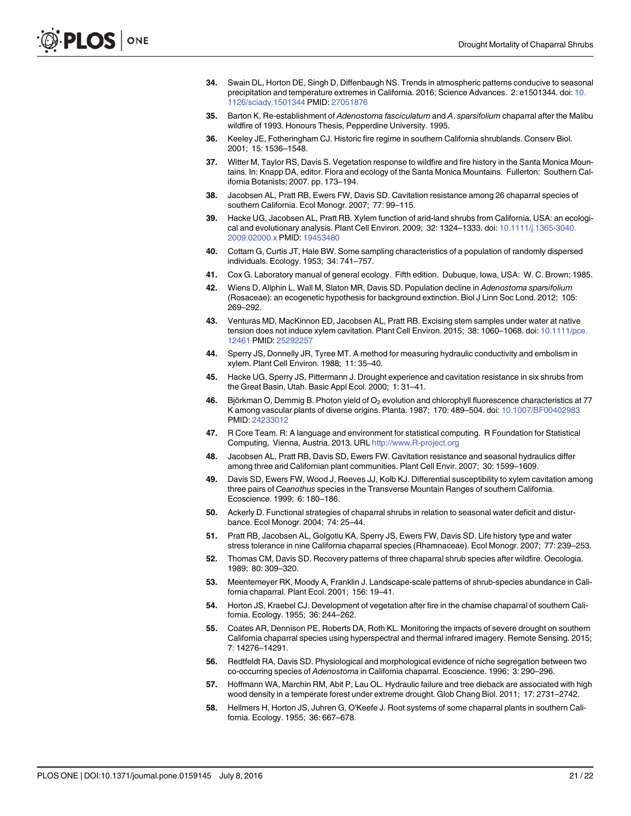- <span id="page-20-0"></span>[34.](#page-2-0) Swain DL, Horton DE, Singh D, Diffenbaugh NS. Trends in atmospheric patterns conducive to seasonal precipitation and temperature extremes in California. 2016; Science Advances. 2: e1501344. doi: [10.](http://dx.doi.org/10.1126/sciadv.1501344) [1126/sciadv.1501344](http://dx.doi.org/10.1126/sciadv.1501344) PMID: [27051876](http://www.ncbi.nlm.nih.gov/pubmed/27051876)
- [35.](#page-2-0) Barton K. Re-establishment of Adenostoma fasciculatum and A. sparsifolium chaparral after the Malibu wildfire of 1993. Honours Thesis, Pepperdine University. 1995.
- [36.](#page-2-0) Keeley JE, Fotheringham CJ. Historic fire regime in southern California shrublands. Conserv Biol. 2001; 15: 1536–1548.
- [37.](#page-2-0) Witter M, Taylor RS, Davis S. Vegetation response to wildfire and fire history in the Santa Monica Mountains. In: Knapp DA, editor. Flora and ecology of the Santa Monica Mountains. Fullerton: Southern California Botanists; 2007. pp. 173–194.
- [38.](#page-4-0) Jacobsen AL, Pratt RB, Ewers FW, Davis SD. Cavitation resistance among 26 chaparral species of southern California. Ecol Monogr. 2007; 77: 99–115.
- [39.](#page-4-0) Hacke UG, Jacobsen AL, Pratt RB. Xylem function of arid-land shrubs from California, USA: an ecological and evolutionary analysis. Plant Cell Environ. 2009; 32: 1324–1333. doi: [10.1111/j.1365-3040.](http://dx.doi.org/10.1111/j.1365-3040.2009.02000.x) [2009.02000.x](http://dx.doi.org/10.1111/j.1365-3040.2009.02000.x) PMID: [19453480](http://www.ncbi.nlm.nih.gov/pubmed/19453480)
- [40.](#page-4-0) Cottam G, Curtis JT, Hale BW. Some sampling characteristics of a population of randomly dispersed individuals. Ecology. 1953; 34: 741–757.
- [41.](#page-4-0) Cox G. Laboratory manual of general ecology. Fifth edition. Dubuque, Iowa, USA: W. C. Brown; 1985.
- [42.](#page-5-0) Wiens D, Allphin L, Wall M, Slaton MR, Davis SD. Population decline in Adenostoma sparsifolium (Rosaceae): an ecogenetic hypothesis for background extinction. Biol J Linn Soc Lond. 2012; 105: 269–292.
- [43.](#page-6-0) Venturas MD, MacKinnon ED, Jacobsen AL, Pratt RB. Excising stem samples under water at native tension does not induce xylem cavitation. Plant Cell Environ. 2015; 38: 1060–1068. doi: [10.1111/pce.](http://dx.doi.org/10.1111/pce.12461) [12461](http://dx.doi.org/10.1111/pce.12461) PMID: [25292257](http://www.ncbi.nlm.nih.gov/pubmed/25292257)
- [44.](#page-6-0) Sperry JS, Donnelly JR, Tyree MT. A method for measuring hydraulic conductivity and embolism in xylem. Plant Cell Environ. 1988; 11: 35–40.
- [45.](#page-6-0) Hacke UG, Sperry JS, Pittermann J. Drought experience and cavitation resistance in six shrubs from the Great Basin, Utah. Basic Appl Ecol. 2000; 1: 31–41.
- [46.](#page-6-0) Björkman O, Demmig B. Photon yield of  $O<sub>2</sub>$  evolution and chlorophyll fluorescence characteristics at 77 K among vascular plants of diverse origins. Planta. 1987; 170: 489-504. doi: [10.1007/BF00402983](http://dx.doi.org/10.1007/BF00402983) PMID: [24233012](http://www.ncbi.nlm.nih.gov/pubmed/24233012)
- [47.](#page-7-0) R Core Team. R: A language and environment for statistical computing. R Foundation for Statistical Computing, Vienna, Austria. 2013. URL <http://www.R-project.org>
- [48.](#page-7-0) Jacobsen AL, Pratt RB, Davis SD, Ewers FW. Cavitation resistance and seasonal hydraulics differ among three arid Californian plant communities. Plant Cell Envir. 2007; 30: 1599–1609.
- [49.](#page-13-0) Davis SD, Ewers FW, Wood J, Reeves JJ, Kolb KJ. Differential susceptibility to xylem cavitation among three pairs of Ceanothus species in the Transverse Mountain Ranges of southern California. Ecoscience. 1999; 6: 180–186.
- 50. Ackerly D. Functional strategies of chaparral shrubs in relation to seasonal water deficit and disturbance. Ecol Monogr. 2004; 74: 25–44.
- [51.](#page-13-0) Pratt RB, Jacobsen AL, Golgotiu KA, Sperry JS, Ewers FW, Davis SD. Life history type and water stress tolerance in nine California chaparral species (Rhamnaceae). Ecol Monogr. 2007; 77: 239–253.
- [52.](#page-14-0) Thomas CM, Davis SD. Recovery patterns of three chaparral shrub species after wildfire. Oecologia. 1989; 80: 309–320.
- [53.](#page-13-0) Meentemeyer RK, Moody A, Franklin J. Landscape-scale patterns of shrub-species abundance in California chaparral. Plant Ecol. 2001; 156: 19–41.
- [54.](#page-13-0) Horton JS, Kraebel CJ. Development of vegetation after fire in the chamise chaparral of southern California. Ecology. 1955; 36: 244–262.
- [55.](#page-13-0) Coates AR, Dennison PE, Roberts DA, Roth KL. Monitoring the impacts of severe drought on southern California chaparral species using hyperspectral and thermal infrared imagery. Remote Sensing. 2015; 7: 14276–14291.
- [56.](#page-14-0) Redtfeldt RA, Davis SD. Physiological and morphological evidence of niche segregation between two co-occurring species of Adenostoma in California chaparral. Ecoscience. 1996; 3: 290–296.
- [57.](#page-14-0) Hoffmann WA, Marchin RM, Abit P, Lau OL. Hydraulic failure and tree dieback are associated with high wood density in a temperate forest under extreme drought. Glob Chang Biol. 2011; 17: 2731–2742.
- [58.](#page-14-0) Hellmers H, Horton JS, Juhren G, O'Keefe J. Root systems of some chaparral plants in southern California. Ecology. 1955; 36: 667–678.